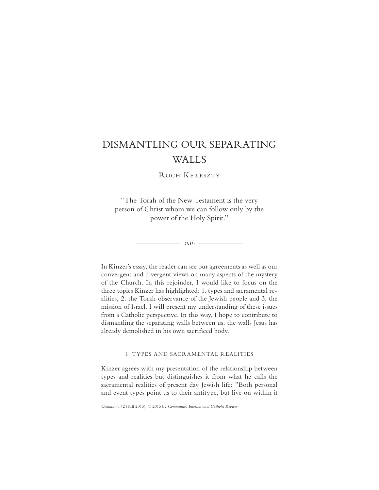# DISMANTLING OUR SEPARATING WALLS

ROCH KERESZTY

"The Torah of the New Testament is the very person of Christ whom we can follow only by the power of the Holy Spirit."

 $\overline{\phantom{a}}$  es  $\overline{\phantom{a}}$ 

In Kinzer's essay, the reader can see our agreements as well as our convergent and divergent views on many aspects of the mystery of the Church. In this rejoinder, I would like to focus on the three topics Kinzer has highlighted: 1. types and sacramental realities, 2. the Torah observance of the Jewish people and 3. the mission of Israel. I will present my understanding of these issues from a Catholic perspective. In this way, I hope to contribute to dismantling the separating walls between us, the walls Jesus has already demolished in his own sacrificed body.

# 1. TYPES AND SACRAMENTAL REALITIES

Kinzer agrees with my presentation of the relationship between types and realities but distinguishes it from what he calls the sacramental realities of present day Jewish life: "Both personal and event types point us to their antitype, but live on within it

*Communio* 42 (Fall 2015). © 2015 by *Communio: International Catholic Review*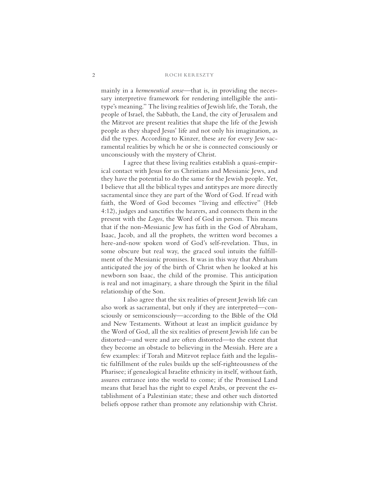#### 2 ROCH KERESZTY

mainly in a *hermeneutical sense*—that is, in providing the necessary interpretive framework for rendering intelligible the antitype's meaning." The living realities of Jewish life, the Torah, the people of Israel, the Sabbath, the Land, the city of Jerusalem and the Mitzvot are present realities that shape the life of the Jewish people as they shaped Jesus' life and not only his imagination, as did the types. According to Kinzer, these are for every Jew sacramental realities by which he or she is connected consciously or unconsciously with the mystery of Christ.

I agree that these living realities establish a quasi-empirical contact with Jesus for us Christians and Messianic Jews, and they have the potential to do the same for the Jewish people. Yet, I believe that all the biblical types and antitypes are more directly sacramental since they are part of the Word of God. If read with faith, the Word of God becomes "living and effective" (Heb 4:12), judges and sanctifies the hearers, and connects them in the present with the *Logos*, the Word of God in person. This means that if the non-Messianic Jew has faith in the God of Abraham, Isaac, Jacob, and all the prophets, the written word becomes a here-and-now spoken word of God's self-revelation. Thus, in some obscure but real way, the graced soul intuits the fulfillment of the Messianic promises. It was in this way that Abraham anticipated the joy of the birth of Christ when he looked at his newborn son Isaac, the child of the promise. This anticipation is real and not imaginary, a share through the Spirit in the filial relationship of the Son.

I also agree that the six realities of present Jewish life can also work as sacramental, but only if they are interpreted—consciously or semiconsciously—according to the Bible of the Old and New Testaments. Without at least an implicit guidance by the Word of God, all the six realities of present Jewish life can be distorted—and were and are often distorted—to the extent that they become an obstacle to believing in the Messiah. Here are a few examples: if Torah and Mitzvot replace faith and the legalistic fulfillment of the rules builds up the self-righteousness of the Pharisee; if genealogical Israelite ethnicity in itself, without faith, assures entrance into the world to come; if the Promised Land means that Israel has the right to expel Arabs, or prevent the establishment of a Palestinian state; these and other such distorted beliefs oppose rather than promote any relationship with Christ.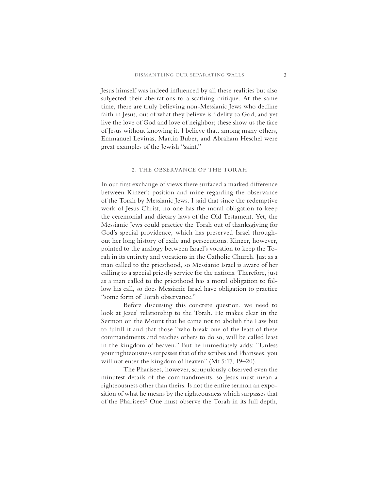Jesus himself was indeed influenced by all these realities but also subjected their aberrations to a scathing critique. At the same time, there are truly believing non-Messianic Jews who decline faith in Jesus, out of what they believe is fidelity to God, and yet live the love of God and love of neighbor; these show us the face of Jesus without knowing it. I believe that, among many others, Emmanuel Levinas, Martin Buber, and Abraham Heschel were great examples of the Jewish "saint."

## 2. THE OBSERVANCE OF THE TORAH

In our first exchange of views there surfaced a marked difference between Kinzer's position and mine regarding the observance of the Torah by Messianic Jews. I said that since the redemptive work of Jesus Christ, no one has the moral obligation to keep the ceremonial and dietary laws of the Old Testament. Yet, the Messianic Jews could practice the Torah out of thanksgiving for God's special providence, which has preserved Israel throughout her long history of exile and persecutions. Kinzer, however, pointed to the analogy between Israel's vocation to keep the Torah in its entirety and vocations in the Catholic Church. Just as a man called to the priesthood, so Messianic Israel is aware of her calling to a special priestly service for the nations. Therefore, just as a man called to the priesthood has a moral obligation to follow his call, so does Messianic Israel have obligation to practice "some form of Torah observance."

Before discussing this concrete question, we need to look at Jesus' relationship to the Torah. He makes clear in the Sermon on the Mount that he came not to abolish the Law but to fulfill it and that those "who break one of the least of these commandments and teaches others to do so, will be called least in the kingdom of heaven." But he immediately adds: "Unless your righteousness surpasses that of the scribes and Pharisees, you will not enter the kingdom of heaven" (Mt 5:17, 19–20).

The Pharisees, however, scrupulously observed even the minutest details of the commandments, so Jesus must mean a righteousness other than theirs. Is not the entire sermon an exposition of what he means by the righteousness which surpasses that of the Pharisees? One must observe the Torah in its full depth,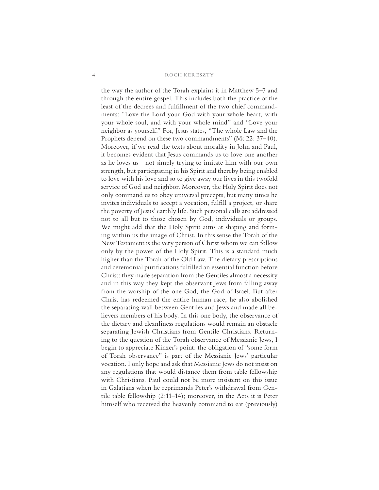#### 4 ROCH KERESZTY

the way the author of the Torah explains it in Matthew 5–7 and through the entire gospel. This includes both the practice of the least of the decrees and fulfillment of the two chief commandments: "Love the Lord your God with your whole heart, with your whole soul, and with your whole mind" and "Love your neighbor as yourself." For, Jesus states, "The whole Law and the Prophets depend on these two commandments" (Mt 22: 37–40). Moreover, if we read the texts about morality in John and Paul, it becomes evident that Jesus commands us to love one another as he loves us—not simply trying to imitate him with our own strength, but participating in his Spirit and thereby being enabled to love with his love and so to give away our lives in this twofold service of God and neighbor. Moreover, the Holy Spirit does not only command us to obey universal precepts, but many times he invites individuals to accept a vocation, fulfill a project, or share the poverty of Jesus' earthly life. Such personal calls are addressed not to all but to those chosen by God, individuals or groups. We might add that the Holy Spirit aims at shaping and forming within us the image of Christ. In this sense the Torah of the New Testament is the very person of Christ whom we can follow only by the power of the Holy Spirit. This is a standard much higher than the Torah of the Old Law. The dietary prescriptions and ceremonial purifications fulfilled an essential function before Christ: they made separation from the Gentiles almost a necessity and in this way they kept the observant Jews from falling away from the worship of the one God, the God of Israel. But after Christ has redeemed the entire human race, he also abolished the separating wall between Gentiles and Jews and made all believers members of his body. In this one body, the observance of the dietary and cleanliness regulations would remain an obstacle separating Jewish Christians from Gentile Christians. Returning to the question of the Torah observance of Messianic Jews, I begin to appreciate Kinzer's point: the obligation of "some form of Torah observance" is part of the Messianic Jews' particular vocation. I only hope and ask that Messianic Jews do not insist on any regulations that would distance them from table fellowship with Christians. Paul could not be more insistent on this issue in Galatians when he reprimands Peter's withdrawal from Gentile table fellowship (2:11–14); moreover, in the Acts it is Peter himself who received the heavenly command to eat (previously)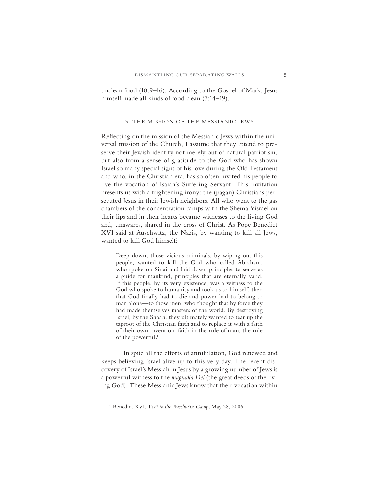unclean food (10:9–16). According to the Gospel of Mark, Jesus himself made all kinds of food clean (7:14–19).

## 3. THE MISSION OF THE MESSIANIC JEWS

Reflecting on the mission of the Messianic Jews within the universal mission of the Church, I assume that they intend to preserve their Jewish identity not merely out of natural patriotism, but also from a sense of gratitude to the God who has shown Israel so many special signs of his love during the Old Testament and who, in the Christian era, has so often invited his people to live the vocation of Isaiah's Suffering Servant. This invitation presents us with a frightening irony: the (pagan) Christians persecuted Jesus in their Jewish neighbors. All who went to the gas chambers of the concentration camps with the Shema Yisrael on their lips and in their hearts became witnesses to the living God and, unawares, shared in the cross of Christ. As Pope Benedict XVI said at Auschwitz, the Nazis, by wanting to kill all Jews, wanted to kill God himself:

Deep down, those vicious criminals, by wiping out this people, wanted to kill the God who called Abraham, who spoke on Sinai and laid down principles to serve as a guide for mankind, principles that are eternally valid. If this people, by its very existence, was a witness to the God who spoke to humanity and took us to himself, then that God finally had to die and power had to belong to man alone—to those men, who thought that by force they had made themselves masters of the world. By destroying Israel, by the Shoah, they ultimately wanted to tear up the taproot of the Christian faith and to replace it with a faith of their own invention: faith in the rule of man, the rule of the powerful**. 1**

In spite all the efforts of annihilation, God renewed and keeps believing Israel alive up to this very day. The recent discovery of Israel's Messiah in Jesus by a growing number of Jews is a powerful witness to the *magnalia Dei* (the great deeds of the living God). These Messianic Jews know that their vocation within

<sup>1</sup> Benedict XVI, *Visit to the Auschwitz Camp*, May 28, 2006.